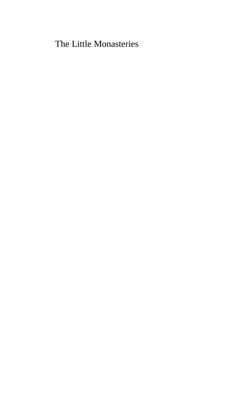The Little Monasteries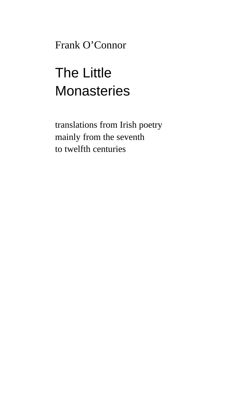Frank O'Connor

# The Little **Monasteries**

translations from Irish poetry mainly from the seventh to twelfth centuries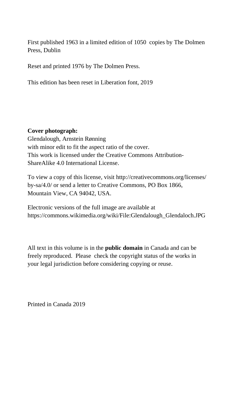First published 1963 in a limited edition of 1050 copies by The Dolmen Press, Dublin

Reset and printed 1976 by The Dolmen Press.

This edition has been reset in Liberation font, 2019

#### **Cover photograph:**

Glendalough, Arnstein Rønning with minor edit to fit the aspect ratio of the cover. This work is licensed under the Creative Commons Attribution-ShareAlike 4.0 International License.

To view a copy of this license, visit http://creativecommons.org/licenses/ by-sa/4.0/ or send a letter to Creative Commons, PO Box 1866, Mountain View, CA 94042, USA.

Electronic versions of the full image are available at https://commons.wikimedia.org/wiki/File:Glendalough\_Glendaloch.JPG

All text in this volume is in the **public domain** in Canada and can be freely reproduced. Please check the copyright status of the works in your legal jurisdiction before considering copying or reuse.

Printed in Canada 2019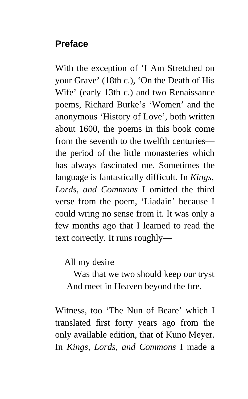# **Preface**

With the exception of 'I Am Stretched on your Grave' (18th c.), 'On the Death of His Wife' (early 13th c.) and two Renaissance poems, Richard Burke's 'Women' and the anonymous 'History of Love', both written about 1600, the poems in this book come from the seventh to the twelfth centuries the period of the little monasteries which has always fascinated me. Sometimes the language is fantastically difficult. In *Kings, Lords, and Commons* I omitted the third verse from the poem, 'Liadain' because I could wring no sense from it. It was only a few months ago that I learned to read the text correctly. It runs roughly—

### All my desire

 Was that we two should keep our tryst And meet in Heaven beyond the fire.

Witness, too 'The Nun of Beare' which I translated first forty years ago from the only available edition, that of Kuno Meyer. In *Kings, Lords, and Commons* I made a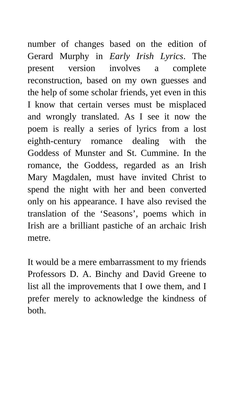number of changes based on the edition of Gerard Murphy in *Early Irish Lyrics*. The present version involves a complete reconstruction, based on my own guesses and the help of some scholar friends, yet even in this I know that certain verses must be misplaced and wrongly translated. As I see it now the poem is really a series of lyrics from a lost eighth-century romance dealing with the Goddess of Munster and St. Cummine. In the romance, the Goddess, regarded as an Irish Mary Magdalen, must have invited Christ to spend the night with her and been converted only on his appearance. I have also revised the translation of the 'Seasons', poems which in Irish are a brilliant pastiche of an archaic Irish metre.

It would be a mere embarrassment to my friends Professors D. A. Binchy and David Greene to list all the improvements that I owe them, and I prefer merely to acknowledge the kindness of both.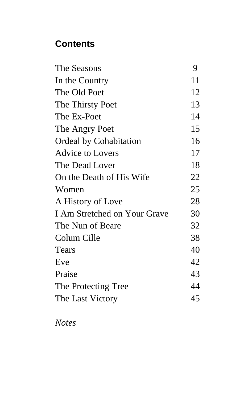# **Contents**

| The Seasons                   | 9  |
|-------------------------------|----|
| In the Country                | 11 |
| The Old Poet                  | 12 |
| The Thirsty Poet              | 13 |
| The Ex-Poet                   | 14 |
| The Angry Poet                | 15 |
| <b>Ordeal by Cohabitation</b> | 16 |
| <b>Advice to Lovers</b>       | 17 |
| The Dead Lover                | 18 |
| On the Death of His Wife      | 22 |
| Women                         | 25 |
| A History of Love             | 28 |
| I Am Stretched on Your Grave  | 30 |
| The Nun of Beare              | 32 |
| Colum Cille                   | 38 |
| <b>Tears</b>                  | 40 |
| Eve                           | 42 |
| Praise                        | 43 |
| The Protecting Tree           | 44 |
| The Last Victory              | 45 |

*Notes*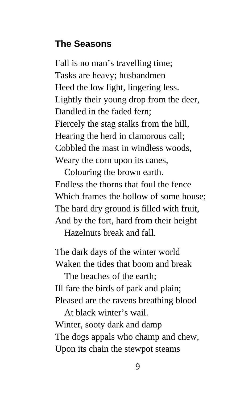### **The Seasons**

Fall is no man's travelling time; Tasks are heavy; husbandmen Heed the low light, lingering less. Lightly their young drop from the deer, Dandled in the faded fern; Fiercely the stag stalks from the hill, Hearing the herd in clamorous call; Cobbled the mast in windless woods, Weary the corn upon its canes,

 Colouring the brown earth. Endless the thorns that foul the fence Which frames the hollow of some house; The hard dry ground is filled with fruit, And by the fort, hard from their height

Hazelnuts break and fall.

The dark days of the winter world Waken the tides that boom and break

 The beaches of the earth; Ill fare the birds of park and plain; Pleased are the ravens breathing blood

 At black winter's wail. Winter, sooty dark and damp The dogs appals who champ and chew, Upon its chain the stewpot steams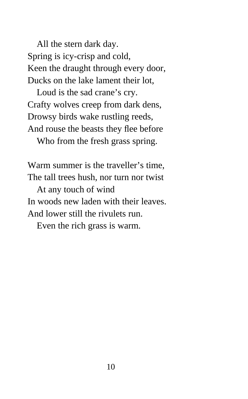All the stern dark day. Spring is icy-crisp and cold, Keen the draught through every door, Ducks on the lake lament their lot,

 Loud is the sad crane's cry. Crafty wolves creep from dark dens, Drowsy birds wake rustling reeds, And rouse the beasts they flee before Who from the fresh grass spring.

Warm summer is the traveller's time, The tall trees hush, nor turn nor twist

 At any touch of wind In woods new laden with their leaves. And lower still the rivulets run.

Even the rich grass is warm.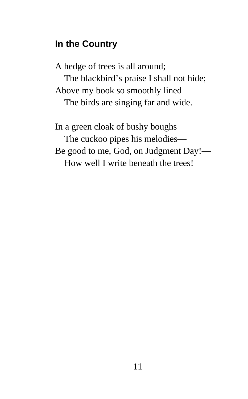# **In the Country**

A hedge of trees is all around; The blackbird's praise I shall not hide; Above my book so smoothly lined The birds are singing far and wide.

In a green cloak of bushy boughs The cuckoo pipes his melodies— Be good to me, God, on Judgment Day!— How well I write beneath the trees!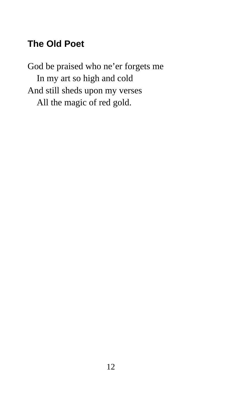# **The Old Poet**

God be praised who ne'er forgets me In my art so high and cold And still sheds upon my verses All the magic of red gold.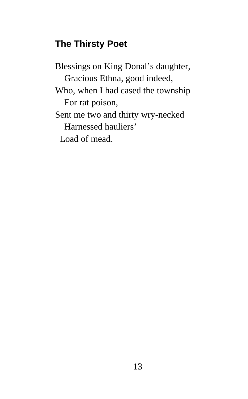# **The Thirsty Poet**

Blessings on King Donal's daughter, Gracious Ethna, good indeed, Who, when I had cased the township For rat poison, Sent me two and thirty wry-necked Harnessed hauliers' Load of mead.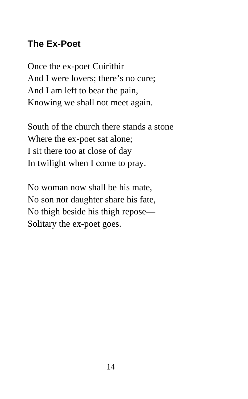# **The Ex-Poet**

Once the ex-poet Cuirithir And I were lovers; there's no cure; And I am left to bear the pain, Knowing we shall not meet again.

South of the church there stands a stone Where the ex-poet sat alone; I sit there too at close of day In twilight when I come to pray.

No woman now shall be his mate, No son nor daughter share his fate, No thigh beside his thigh repose— Solitary the ex-poet goes.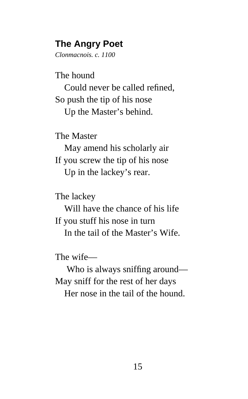## **The Angry Poet**

*Clonmacnois. c. 1100*

The hound

 Could never be called refined, So push the tip of his nose Up the Master's behind.

The Master

 May amend his scholarly air If you screw the tip of his nose Up in the lackey's rear.

The lackey

 Will have the chance of his life If you stuff his nose in turn In the tail of the Master's Wife.

The wife—

Who is always sniffing around— May sniff for the rest of her days Her nose in the tail of the hound.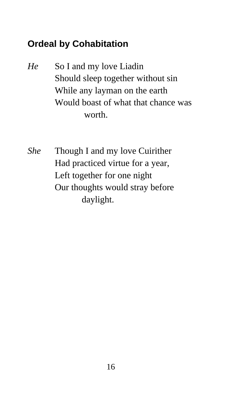# **Ordeal by Cohabitation**

- *He* So I and my love Liadin Should sleep together without sin While any layman on the earth Would boast of what that chance was worth.
- *She* Though I and my love Cuirither Had practiced virtue for a year, Left together for one night Our thoughts would stray before daylight.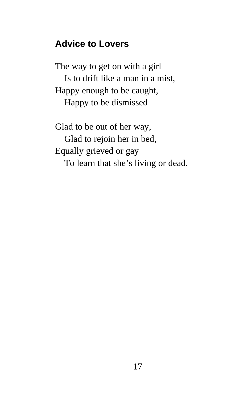### **Advice to Lovers**

The way to get on with a girl Is to drift like a man in a mist, Happy enough to be caught, Happy to be dismissed

Glad to be out of her way, Glad to rejoin her in bed, Equally grieved or gay To learn that she's living or dead.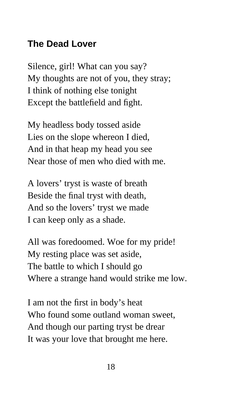# **The Dead Lover**

Silence, girl! What can you say? My thoughts are not of you, they stray; I think of nothing else tonight Except the battlefield and fight.

My headless body tossed aside Lies on the slope whereon I died, And in that heap my head you see Near those of men who died with me.

A lovers' tryst is waste of breath Beside the final tryst with death, And so the lovers' tryst we made I can keep only as a shade.

All was foredoomed. Woe for my pride! My resting place was set aside, The battle to which I should go Where a strange hand would strike me low.

I am not the first in body's heat Who found some outland woman sweet, And though our parting tryst be drear It was your love that brought me here.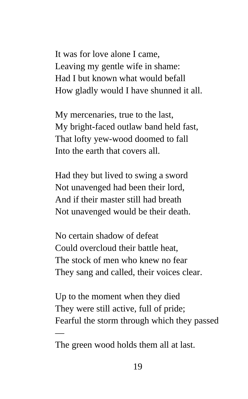It was for love alone I came, Leaving my gentle wife in shame: Had I but known what would befall How gladly would I have shunned it all.

My mercenaries, true to the last, My bright-faced outlaw band held fast, That lofty yew-wood doomed to fall Into the earth that covers all.

Had they but lived to swing a sword Not unavenged had been their lord, And if their master still had breath Not unavenged would be their death.

No certain shadow of defeat Could overcloud their battle heat, The stock of men who knew no fear They sang and called, their voices clear.

Up to the moment when they died They were still active, full of pride; Fearful the storm through which they passed

—

The green wood holds them all at last.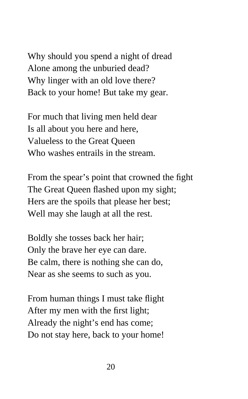Why should you spend a night of dread Alone among the unburied dead? Why linger with an old love there? Back to your home! But take my gear.

For much that living men held dear Is all about you here and here, Valueless to the Great Queen Who washes entrails in the stream.

From the spear's point that crowned the fight The Great Queen flashed upon my sight; Hers are the spoils that please her best; Well may she laugh at all the rest.

Boldly she tosses back her hair; Only the brave her eye can dare. Be calm, there is nothing she can do, Near as she seems to such as you.

From human things I must take flight After my men with the first light; Already the night's end has come; Do not stay here, back to your home!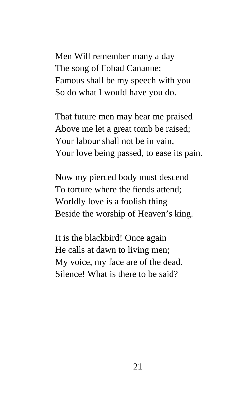Men Will remember many a day The song of Fohad Cananne; Famous shall be my speech with you So do what I would have you do.

That future men may hear me praised Above me let a great tomb be raised; Your labour shall not be in vain, Your love being passed, to ease its pain.

Now my pierced body must descend To torture where the fiends attend; Worldly love is a foolish thing Beside the worship of Heaven's king.

It is the blackbird! Once again He calls at dawn to living men; My voice, my face are of the dead. Silence! What is there to be said?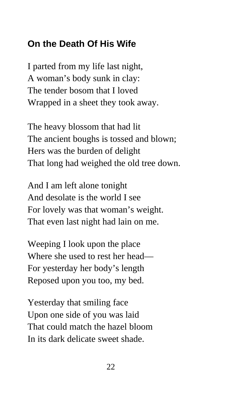# **On the Death Of His Wife**

I parted from my life last night, A woman's body sunk in clay: The tender bosom that I loved Wrapped in a sheet they took away.

The heavy blossom that had lit The ancient boughs is tossed and blown; Hers was the burden of delight That long had weighed the old tree down.

And I am left alone tonight And desolate is the world I see For lovely was that woman's weight. That even last night had lain on me.

Weeping I look upon the place Where she used to rest her head— For yesterday her body's length Reposed upon you too, my bed.

Yesterday that smiling face Upon one side of you was laid That could match the hazel bloom In its dark delicate sweet shade.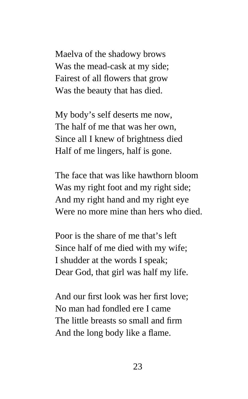Maelva of the shadowy brows Was the mead-cask at my side; Fairest of all flowers that grow Was the beauty that has died.

My body's self deserts me now, The half of me that was her own, Since all I knew of brightness died Half of me lingers, half is gone.

The face that was like hawthorn bloom Was my right foot and my right side; And my right hand and my right eye Were no more mine than hers who died.

Poor is the share of me that's left Since half of me died with my wife; I shudder at the words I speak; Dear God, that girl was half my life.

And our first look was her first love; No man had fondled ere I came The little breasts so small and firm And the long body like a flame.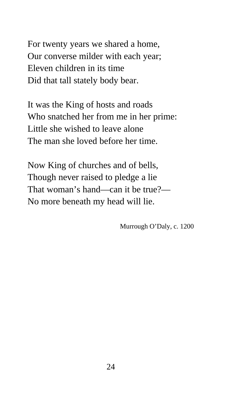For twenty years we shared a home, Our converse milder with each year; Eleven children in its time Did that tall stately body bear.

It was the King of hosts and roads Who snatched her from me in her prime: Little she wished to leave alone The man she loved before her time.

Now King of churches and of bells, Though never raised to pledge a lie That woman's hand—can it be true?— No more beneath my head will lie.

Murrough O'Daly, c. 1200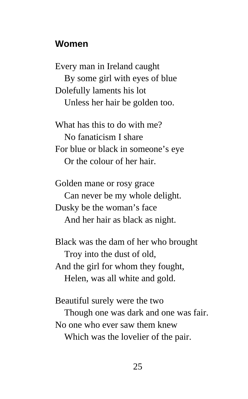### **Women**

Every man in Ireland caught By some girl with eyes of blue Dolefully laments his lot Unless her hair be golden too.

What has this to do with me? No fanaticism I share For blue or black in someone's eye Or the colour of her hair.

Golden mane or rosy grace Can never be my whole delight. Dusky be the woman's face And her hair as black as night.

Black was the dam of her who brought Troy into the dust of old, And the girl for whom they fought, Helen, was all white and gold.

Beautiful surely were the two Though one was dark and one was fair. No one who ever saw them knew

Which was the lovelier of the pair.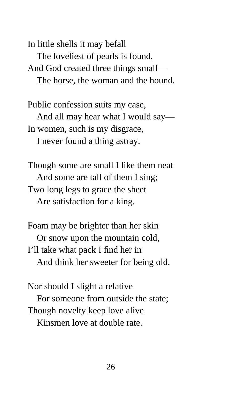In little shells it may befall The loveliest of pearls is found, And God created three things small— The horse, the woman and the hound.

Public confession suits my case, And all may hear what I would say— In women, such is my disgrace, I never found a thing astray.

Though some are small I like them neat And some are tall of them I sing; Two long legs to grace the sheet Are satisfaction for a king.

Foam may be brighter than her skin Or snow upon the mountain cold, I'll take what pack I find her in And think her sweeter for being old.

Nor should I slight a relative For someone from outside the state; Though novelty keep love alive Kinsmen love at double rate.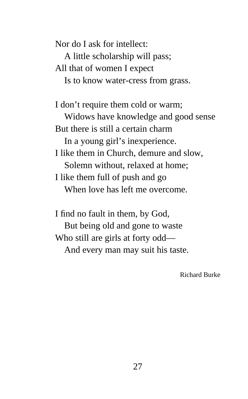Nor do I ask for intellect: A little scholarship will pass; All that of women I expect Is to know water-cress from grass.

I don't require them cold or warm; Widows have knowledge and good sense But there is still a certain charm In a young girl's inexperience. I like them in Church, demure and slow, Solemn without, relaxed at home; I like them full of push and go When love has left me overcome.

I find no fault in them, by God, But being old and gone to waste Who still are girls at forty odd— And every man may suit his taste.

Richard Burke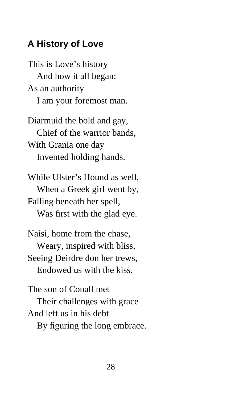### **A History of Love**

This is Love's history And how it all began: As an authority I am your foremost man.

Diarmuid the bold and gay, Chief of the warrior bands, With Grania one day Invented holding hands.

While Ulster's Hound as well, When a Greek girl went by, Falling beneath her spell, Was first with the glad eye.

Naisi, home from the chase, Weary, inspired with bliss, Seeing Deirdre don her trews, Endowed us with the kiss.

The son of Conall met Their challenges with grace And left us in his debt By figuring the long embrace.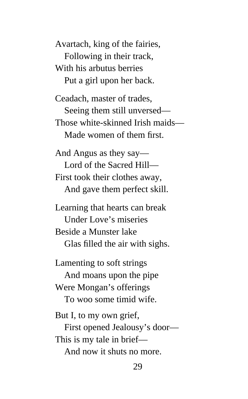Avartach, king of the fairies, Following in their track, With his arbutus berries Put a girl upon her back.

Ceadach, master of trades, Seeing them still unversed— Those white-skinned Irish maids— Made women of them first.

And Angus as they say— Lord of the Sacred Hill— First took their clothes away, And gave them perfect skill.

Learning that hearts can break Under Love's miseries Beside a Munster lake Glas filled the air with sighs.

Lamenting to soft strings

 And moans upon the pipe Were Mongan's offerings To woo some timid wife.

But I, to my own grief,

 First opened Jealousy's door— This is my tale in brief—

And now it shuts no more.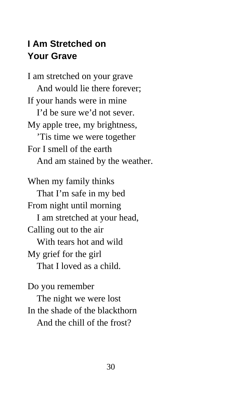# **I Am Stretched on Your Grave**

I am stretched on your grave And would lie there forever; If your hands were in mine I'd be sure we'd not sever. My apple tree, my brightness, 'Tis time we were together For I smell of the earth And am stained by the weather. When my family thinks That I'm safe in my bed From night until morning I am stretched at your head, Calling out to the air With tears hot and wild My grief for the girl That I loved as a child.

Do you remember The night we were lost In the shade of the blackthorn And the chill of the frost?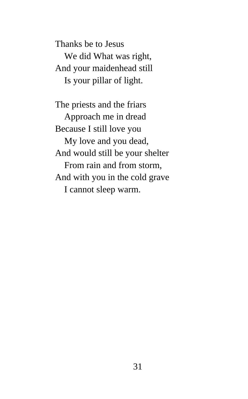Thanks be to Jesus We did What was right, And your maidenhead still Is your pillar of light.

The priests and the friars Approach me in dread Because I still love you My love and you dead, And would still be your shelter From rain and from storm, And with you in the cold grave I cannot sleep warm.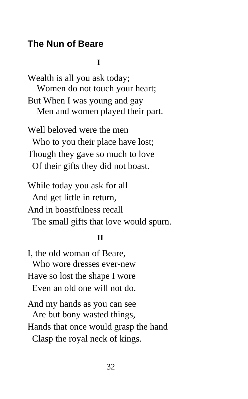### **The Nun of Beare**

#### **I**

Wealth is all you ask today; Women do not touch your heart; But When I was young and gay Men and women played their part.

Well beloved were the men Who to you their place have lost; Though they gave so much to love Of their gifts they did not boast.

While today you ask for all And get little in return, And in boastfulness recall The small gifts that love would spurn.

#### **II**

I, the old woman of Beare, Who wore dresses ever-new Have so lost the shape I wore Even an old one will not do. And my hands as you can see Are but bony wasted things,

Hands that once would grasp the hand

Clasp the royal neck of kings.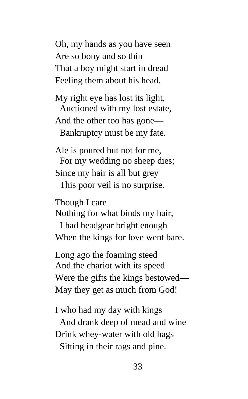Oh, my hands as you have seen Are so bony and so thin That a boy might start in dread Feeling them about his head.

My right eye has lost its light, Auctioned with my lost estate, And the other too has gone— Bankruptcy must be my fate.

Ale is poured but not for me, For my wedding no sheep dies; Since my hair is all but grey This poor veil is no surprise.

Though I care

Nothing for what binds my hair,

 I had headgear bright enough When the kings for love went bare.

Long ago the foaming steed And the chariot with its speed Were the gifts the kings bestowed— May they get as much from God!

I who had my day with kings And drank deep of mead and wine Drink whey-water with old hags Sitting in their rags and pine.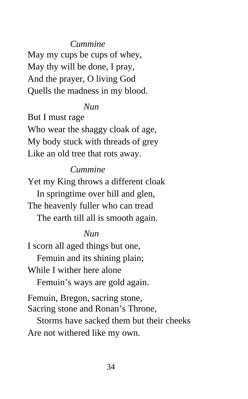### *Cummine*

May my cups be cups of whey, May thy will be done, I pray, And the prayer, O living God Quells the madness in my blood.

### *Nun*

But I must rage Who wear the shaggy cloak of age, My body stuck with threads of grey Like an old tree that rots away.

### *Cummine*

Yet my King throws a different cloak In springtime over hill and glen, The heavenly fuller who can tread The earth till all is smooth again.

### *Nun*

I scorn all aged things but one, Femuin and its shining plain; While I wither here alone

Femuin's ways are gold again.

Femuin, Bregon, sacring stone, Sacring stone and Ronan's Throne,

 Storms have sacked them but their cheeks Are not withered like my own.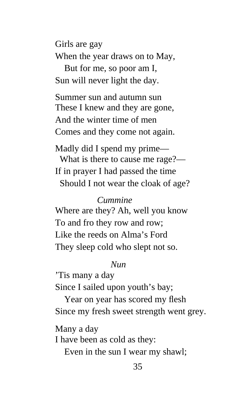Girls are gay When the year draws on to May, But for me, so poor am I, Sun will never light the day.

Summer sun and autumn sun These I knew and they are gone, And the winter time of men Comes and they come not again.

Madly did I spend my prime— What is there to cause me rage?— If in prayer I had passed the time Should I not wear the cloak of age?

### *Cummine*

Where are they? Ah, well you know To and fro they row and row; Like the reeds on Alma's Ford They sleep cold who slept not so.

### *Nun*

'Tis many a day Since I sailed upon youth's bay;

 Year on year has scored my flesh Since my fresh sweet strength went grey.

Many a day I have been as cold as they:

Even in the sun I wear my shawl;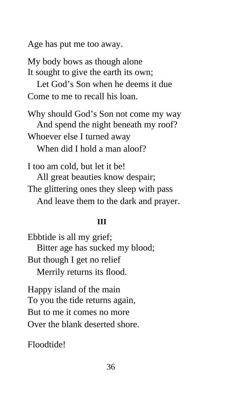Age has put me too away.

My body bows as though alone It sought to give the earth its own;

 Let God's Son when he deems it due Come to me to recall his loan.

Why should God's Son not come my way And spend the night beneath my roof? Whoever else I turned away When did I hold a man aloof?

I too am cold, but let it be! All great beauties know despair; The glittering ones they sleep with pass And leave them to the dark and prayer.

### **III**

Ebbtide is all my grief; Bitter age has sucked my blood; But though I get no relief Merrily returns its flood.

Happy island of the main To you the tide returns again, But to me it comes no more Over the blank deserted shore.

Floodtide!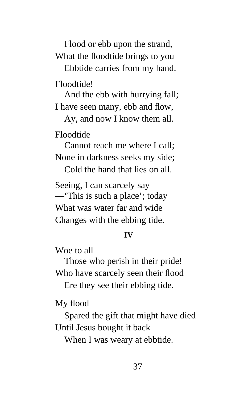Flood or ebb upon the strand, What the floodtide brings to you Ebbtide carries from my hand.

Floodtide!

 And the ebb with hurrying fall; I have seen many, ebb and flow,

 Ay, and now I know them all. Floodtide

 Cannot reach me where I call; None in darkness seeks my side;

Cold the hand that lies on all.

Seeing, I can scarcely say —'This is such a place'; today What was water far and wide Changes with the ebbing tide.

### **IV**

Woe to all

 Those who perish in their pride! Who have scarcely seen their flood

Ere they see their ebbing tide.

My flood

 Spared the gift that might have died Until Jesus bought it back

When I was weary at ebbtide.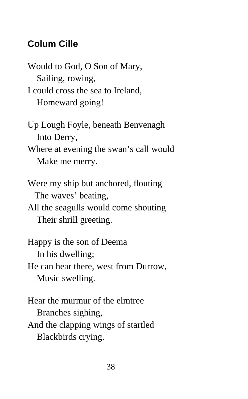# **Colum Cille**

Would to God, O Son of Mary, Sailing, rowing, I could cross the sea to Ireland, Homeward going!

Up Lough Foyle, beneath Benvenagh Into Derry, Where at evening the swan's call would

Make me merry.

Were my ship but anchored, flouting The waves' beating, All the seagulls would come shouting Their shrill greeting.

Happy is the son of Deema In his dwelling; He can hear there, west from Durrow, Music swelling.

Hear the murmur of the elmtree Branches sighing, And the clapping wings of startled Blackbirds crying.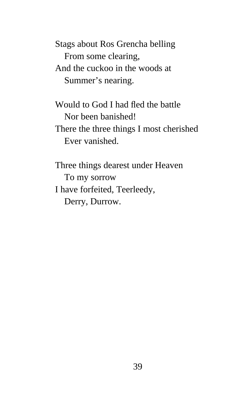Stags about Ros Grencha belling From some clearing, And the cuckoo in the woods at Summer's nearing.

Would to God I had fled the battle Nor been banished! There the three things I most cherished Ever vanished.

Three things dearest under Heaven To my sorrow I have forfeited, Teerleedy, Derry, Durrow.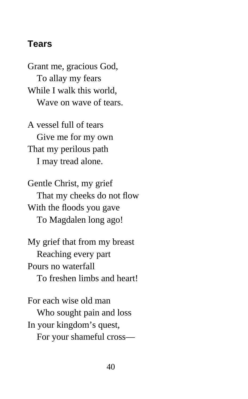### **Tears**

Grant me, gracious God, To allay my fears While I walk this world, Wave on wave of tears.

A vessel full of tears Give me for my own That my perilous path I may tread alone.

Gentle Christ, my grief That my cheeks do not flow With the floods you gave To Magdalen long ago!

My grief that from my breast Reaching every part Pours no waterfall To freshen limbs and heart!

For each wise old man Who sought pain and loss In your kingdom's quest, For your shameful cross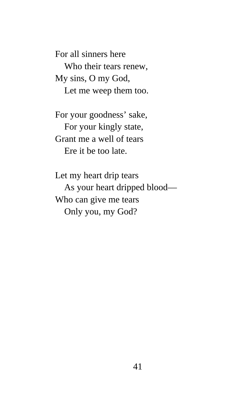For all sinners here Who their tears renew, My sins, O my God, Let me weep them too.

For your goodness' sake, For your kingly state, Grant me a well of tears Ere it be too late.

Let my heart drip tears As your heart dripped blood— Who can give me tears Only you, my God?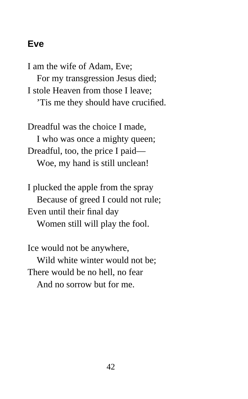### **Eve**

I am the wife of Adam, Eve; For my transgression Jesus died; I stole Heaven from those I leave; 'Tis me they should have crucified.

Dreadful was the choice I made, I who was once a mighty queen; Dreadful, too, the price I paid— Woe, my hand is still unclean!

I plucked the apple from the spray Because of greed I could not rule; Even until their final day Women still will play the fool.

Ice would not be anywhere, Wild white winter would not be; There would be no hell, no fear And no sorrow but for me.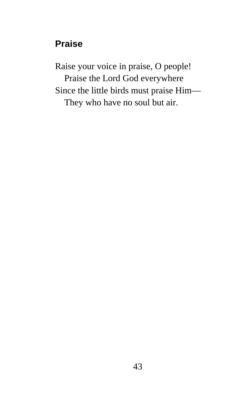# **Praise**

Raise your voice in praise, O people! Praise the Lord God everywhere Since the little birds must praise Him— They who have no soul but air.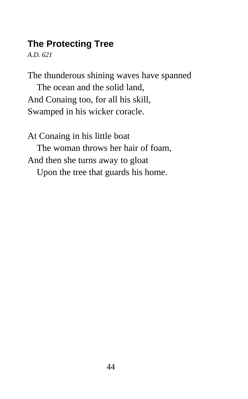# **The Protecting Tree**

*A.D. 621*

The thunderous shining waves have spanned The ocean and the solid land, And Conaing too, for all his skill, Swamped in his wicker coracle.

At Conaing in his little boat The woman throws her hair of foam, And then she turns away to gloat Upon the tree that guards his home.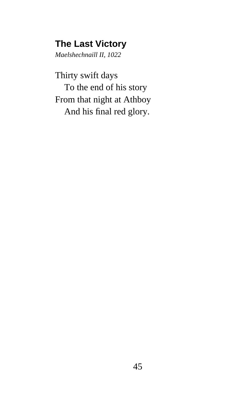### **The Last Victory**

*Maelshechnaill II, 1022*

Thirty swift days To the end of his story From that night at Athboy And his final red glory.